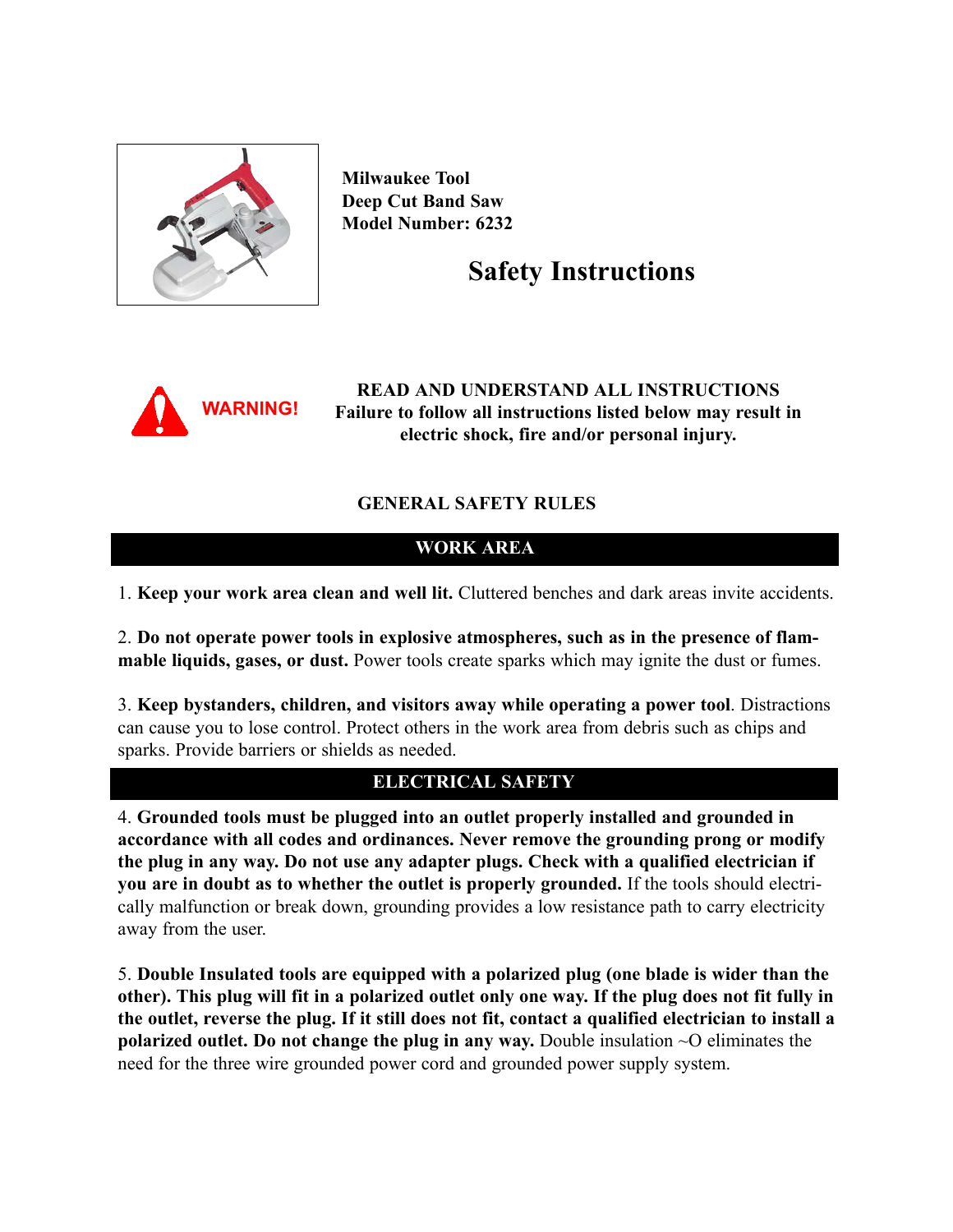

**Milwaukee Tool Deep Cut Band Saw Model Number: 6232**

# **Safety Instructions**



**READ AND UNDERSTAND ALL INSTRUCTIONS Failure to follow all instructions listed below may result in electric shock, fire and/or personal injury.**

# **GENERAL SAFETY RULES**

# **WORK AREA**

1. **Keep your work area clean and well lit.** Cluttered benches and dark areas invite accidents.

2. **Do not operate power tools in explosive atmospheres, such as in the presence of flammable liquids, gases, or dust.** Power tools create sparks which may ignite the dust or fumes.

3. **Keep bystanders, children, and visitors away while operating a power tool**. Distractions can cause you to lose control. Protect others in the work area from debris such as chips and sparks. Provide barriers or shields as needed.

# **ELECTRICAL SAFETY**

4. **Grounded tools must be plugged into an outlet properly installed and grounded in accordance with all codes and ordinances. Never remove the grounding prong or modify the plug in any way. Do not use any adapter plugs. Check with a qualified electrician if you are in doubt as to whether the outlet is properly grounded.** If the tools should electrically malfunction or break down, grounding provides a low resistance path to carry electricity away from the user.

5. **Double Insulated tools are equipped with a polarized plug (one blade is wider than the other). This plug will fit in a polarized outlet only one way. If the plug does not fit fully in the outlet, reverse the plug. If it still does not fit, contact a qualified electrician to install a polarized outlet. Do not change the plug in any way.** Double insulation ~O eliminates the need for the three wire grounded power cord and grounded power supply system.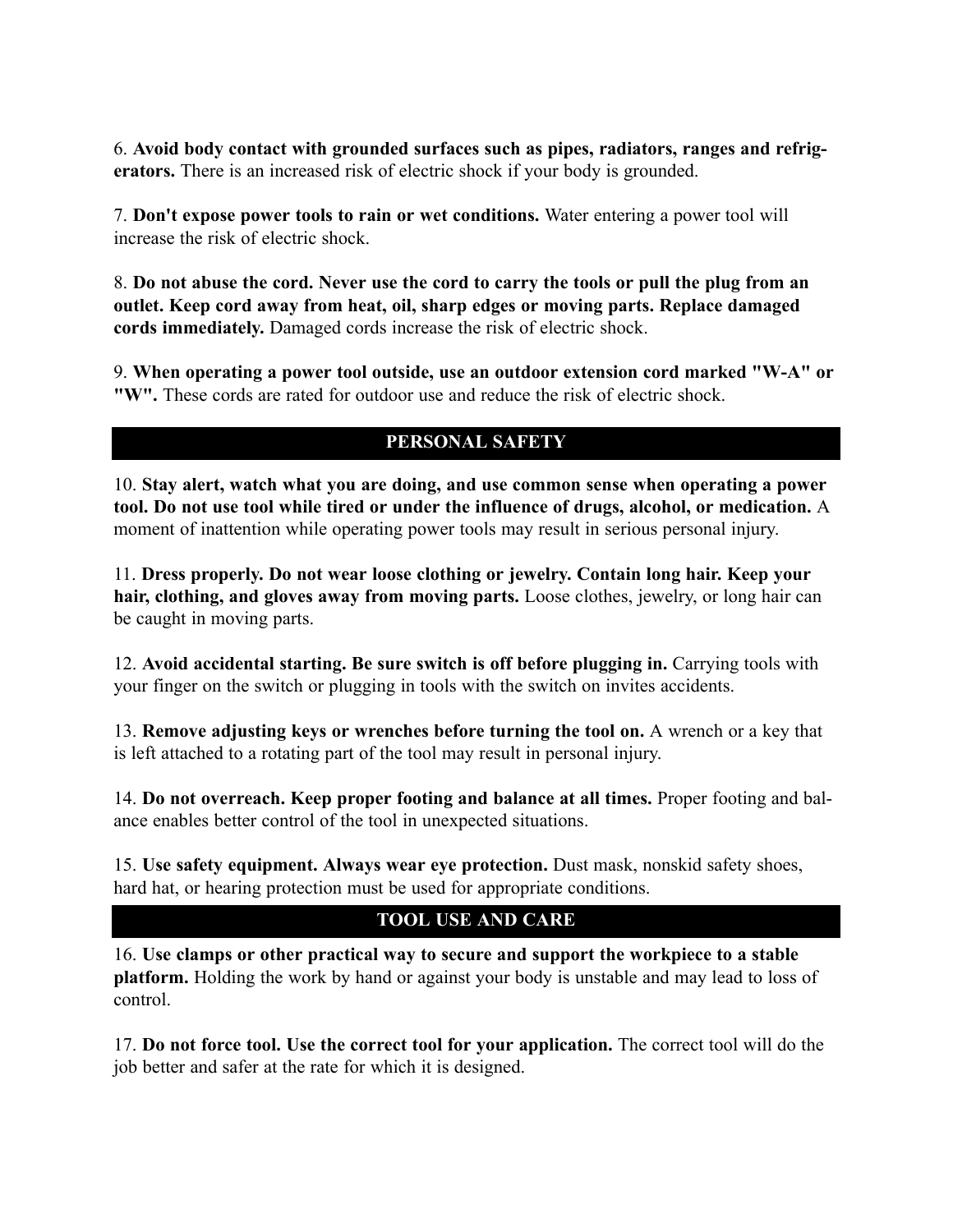6. **Avoid body contact with grounded surfaces such as pipes, radiators, ranges and refrigerators.** There is an increased risk of electric shock if your body is grounded.

7. **Don't expose power tools to rain or wet conditions.** Water entering a power tool will increase the risk of electric shock.

8. **Do not abuse the cord. Never use the cord to carry the tools or pull the plug from an outlet. Keep cord away from heat, oil, sharp edges or moving parts. Replace damaged cords immediately.** Damaged cords increase the risk of electric shock.

9. **When operating a power tool outside, use an outdoor extension cord marked "W-A" or "W".** These cords are rated for outdoor use and reduce the risk of electric shock.

# **PERSONAL SAFETY**

10. **Stay alert, watch what you are doing, and use common sense when operating a power tool. Do not use tool while tired or under the influence of drugs, alcohol, or medication.** A moment of inattention while operating power tools may result in serious personal injury.

11. **Dress properly. Do not wear loose clothing or jewelry. Contain long hair. Keep your hair, clothing, and gloves away from moving parts.** Loose clothes, jewelry, or long hair can be caught in moving parts.

12. **Avoid accidental starting. Be sure switch is off before plugging in.** Carrying tools with your finger on the switch or plugging in tools with the switch on invites accidents.

13. **Remove adjusting keys or wrenches before turning the tool on.** A wrench or a key that is left attached to a rotating part of the tool may result in personal injury.

14. **Do not overreach. Keep proper footing and balance at all times.** Proper footing and balance enables better control of the tool in unexpected situations.

15. **Use safety equipment. Always wear eye protection.** Dust mask, nonskid safety shoes, hard hat, or hearing protection must be used for appropriate conditions.

# **TOOL USE AND CARE**

16. **Use clamps or other practical way to secure and support the workpiece to a stable platform.** Holding the work by hand or against your body is unstable and may lead to loss of control.

17. **Do not force tool. Use the correct tool for your application.** The correct tool will do the job better and safer at the rate for which it is designed.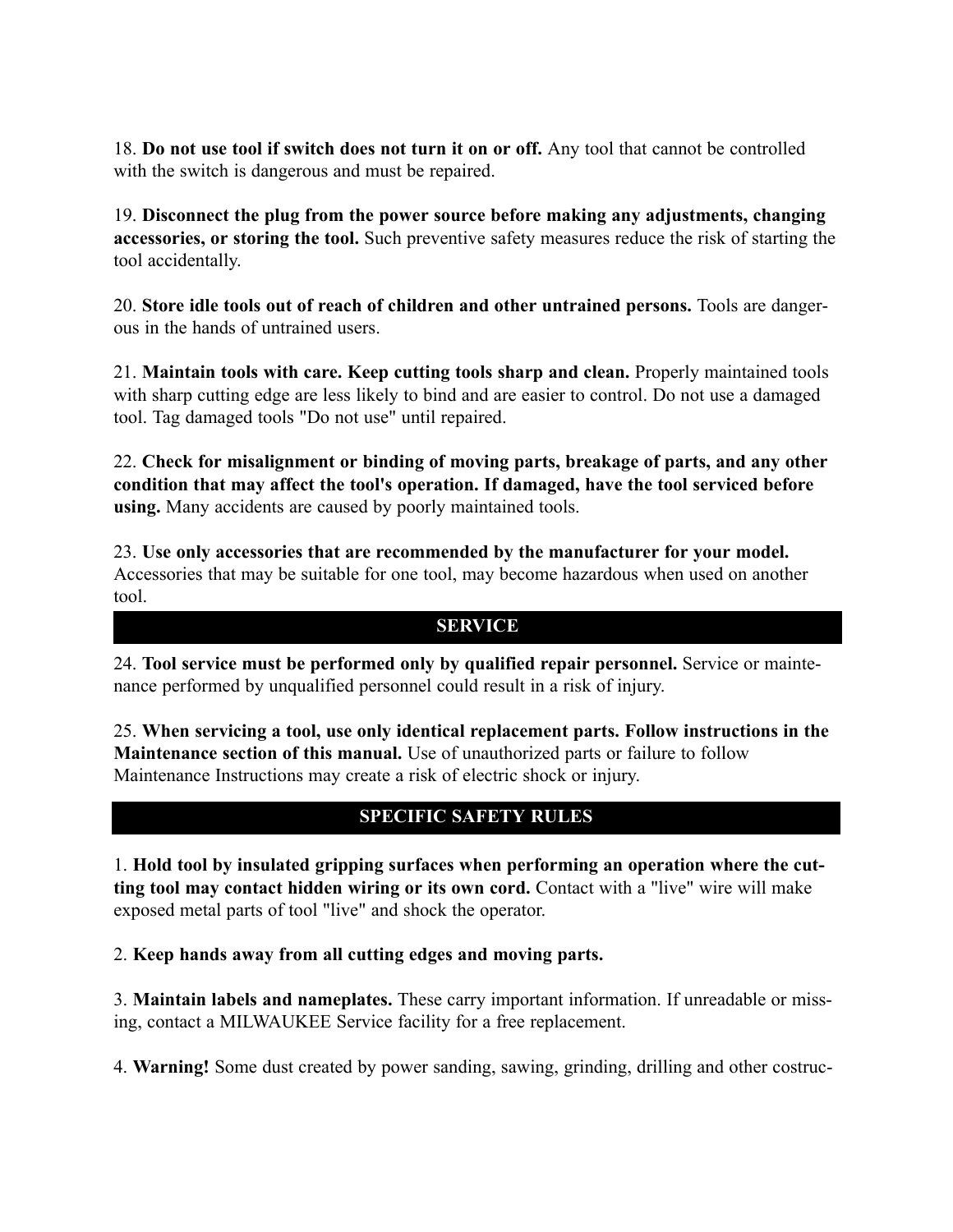18. **Do not use tool if switch does not turn it on or off.** Any tool that cannot be controlled with the switch is dangerous and must be repaired.

19. **Disconnect the plug from the power source before making any adjustments, changing accessories, or storing the tool.** Such preventive safety measures reduce the risk of starting the tool accidentally.

20. **Store idle tools out of reach of children and other untrained persons.** Tools are dangerous in the hands of untrained users.

21. **Maintain tools with care. Keep cutting tools sharp and clean.** Properly maintained tools with sharp cutting edge are less likely to bind and are easier to control. Do not use a damaged tool. Tag damaged tools "Do not use" until repaired.

22. **Check for misalignment or binding of moving parts, breakage of parts, and any other condition that may affect the tool's operation. If damaged, have the tool serviced before using.** Many accidents are caused by poorly maintained tools.

23. **Use only accessories that are recommended by the manufacturer for your model.** Accessories that may be suitable for one tool, may become hazardous when used on another tool.

#### **SERVICE**

24. **Tool service must be performed only by qualified repair personnel.** Service or maintenance performed by unqualified personnel could result in a risk of injury.

25. **When servicing a tool, use only identical replacement parts. Follow instructions in the Maintenance section of this manual.** Use of unauthorized parts or failure to follow Maintenance Instructions may create a risk of electric shock or injury.

# **SPECIFIC SAFETY RULES**

1. **Hold tool by insulated gripping surfaces when performing an operation where the cutting tool may contact hidden wiring or its own cord.** Contact with a "live" wire will make exposed metal parts of tool "live" and shock the operator.

2. **Keep hands away from all cutting edges and moving parts.**

3. **Maintain labels and nameplates.** These carry important information. If unreadable or missing, contact a MILWAUKEE Service facility for a free replacement.

4. **Warning!** Some dust created by power sanding, sawing, grinding, drilling and other costruc-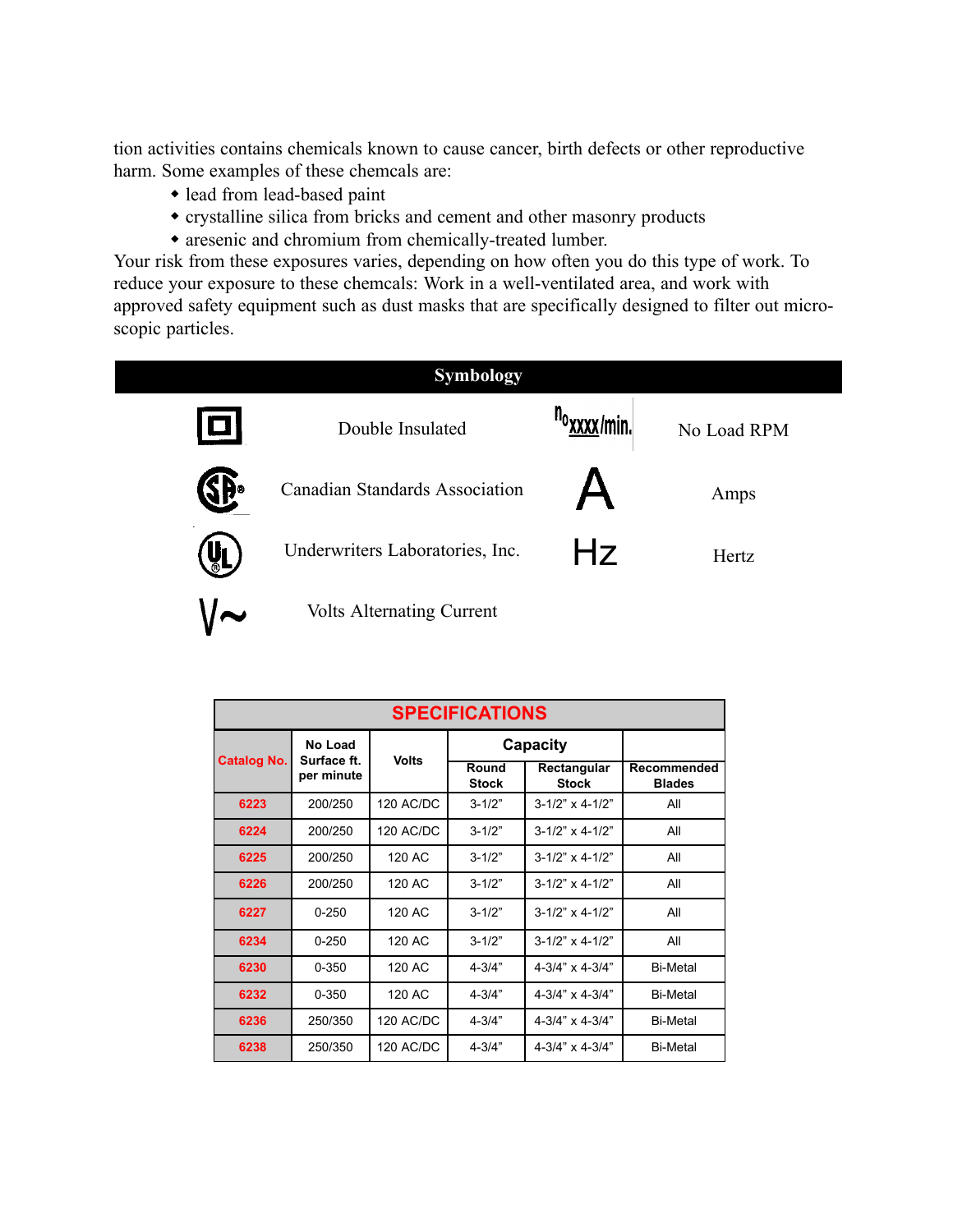tion activities contains chemicals known to cause cancer, birth defects or other reproductive harm. Some examples of these chemcals are:

- lead from lead-based paint
- crystalline silica from bricks and cement and other masonry products
- aresenic and chromium from chemically-treated lumber.

Your risk from these exposures varies, depending on how often you do this type of work. To reduce your exposure to these chemcals: Work in a well-ventilated area, and work with approved safety equipment such as dust masks that are specifically designed to filter out microscopic particles.

| <b>Symbology</b> |                                  |                                      |             |  |  |  |  |  |
|------------------|----------------------------------|--------------------------------------|-------------|--|--|--|--|--|
| $\blacksquare$   | Double Insulated                 | <sup>n</sup> o <sub>XXXX</sub> /min. | No Load RPM |  |  |  |  |  |
| SĐ∘              | Canadian Standards Association   |                                      | Amps        |  |  |  |  |  |
| <b>VL</b>        | Underwriters Laboratories, Inc.  | Hz                                   | Hertz       |  |  |  |  |  |
|                  | <b>Volts Alternating Current</b> |                                      |             |  |  |  |  |  |

| <b>SPECIFICATIONS</b> |                                      |                  |                       |                             |                              |  |  |  |  |
|-----------------------|--------------------------------------|------------------|-----------------------|-----------------------------|------------------------------|--|--|--|--|
| <b>Catalog No.</b>    | No Load<br>Surface ft.<br>per minute | <b>Volts</b>     | Capacity              |                             |                              |  |  |  |  |
|                       |                                      |                  | Round<br><b>Stock</b> | Rectangular<br><b>Stock</b> | Recommended<br><b>Blades</b> |  |  |  |  |
| 6223                  | 200/250                              | <b>120 AC/DC</b> | $3 - 1/2"$            | $3 - 1/2" \times 4 - 1/2"$  | All                          |  |  |  |  |
| 6224                  | 200/250                              | 120 AC/DC        | $3 - 1/2"$            | $3 - 1/2" \times 4 - 1/2"$  | All                          |  |  |  |  |
| 6225                  | 200/250                              | $120$ AC         | $3 - 1/2"$            | $3 - 1/2" \times 4 - 1/2"$  | All                          |  |  |  |  |
| 6226                  | 200/250                              | 120 AC           | $3 - 1/2"$            | $3 - 1/2" \times 4 - 1/2"$  | All                          |  |  |  |  |
| 6227                  | $0 - 250$                            | $120$ AC         | $3 - 1/2"$            | $3 - 1/2" \times 4 - 1/2"$  | All                          |  |  |  |  |
| 6234                  | $0 - 250$                            | 120 AC           | $3 - 1/2"$            | $3 - 1/2" \times 4 - 1/2"$  | All                          |  |  |  |  |
| 6230                  | $0 - 350$                            | 120 AC           | $4 - 3/4"$            | $4 - 3/4" \times 4 - 3/4"$  | <b>Bi-Metal</b>              |  |  |  |  |
| 6232                  | $0 - 350$                            | 120 AC           | $4 - 3/4"$            | $4 - 3/4" \times 4 - 3/4"$  | <b>Bi-Metal</b>              |  |  |  |  |
| 6236                  | 250/350                              | 120 AC/DC        | $4 - 3/4"$            | $4 - 3/4" \times 4 - 3/4"$  | <b>Bi-Metal</b>              |  |  |  |  |
| 6238                  | 250/350                              | <b>120 AC/DC</b> | $4 - 3/4"$            | $4 - 3/4" \times 4 - 3/4"$  | <b>Bi-Metal</b>              |  |  |  |  |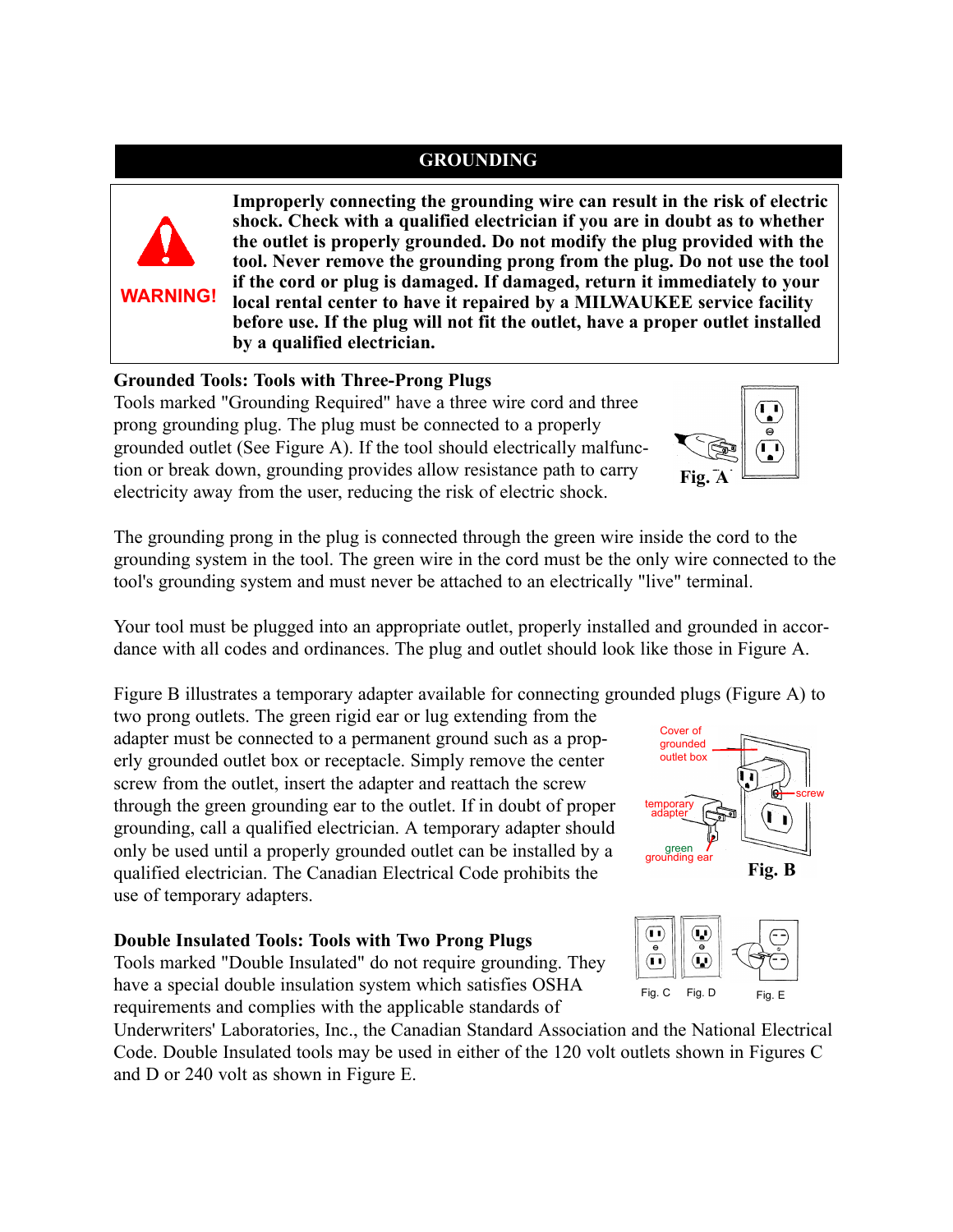# **GROUNDING**



**Improperly connecting the grounding wire can result in the risk of electric shock. Check with a qualified electrician if you are in doubt as to whether the outlet is properly grounded. Do not modify the plug provided with the tool. Never remove the grounding prong from the plug. Do not use the tool if the cord or plug is damaged. If damaged, return it immediately to your local rental center to have it repaired by a MILWAUKEE service facility before use. If the plug will not fit the outlet, have a proper outlet installed by a qualified electrician.**

#### **Grounded Tools: Tools with Three-Prong Plugs**

Tools marked "Grounding Required" have a three wire cord and three prong grounding plug. The plug must be connected to a properly grounded outlet (See Figure A). If the tool should electrically malfunction or break down, grounding provides allow resistance path to carry electricity away from the user, reducing the risk of electric shock.



The grounding prong in the plug is connected through the green wire inside the cord to the grounding system in the tool. The green wire in the cord must be the only wire connected to the tool's grounding system and must never be attached to an electrically "live" terminal.

Your tool must be plugged into an appropriate outlet, properly installed and grounded in accordance with all codes and ordinances. The plug and outlet should look like those in Figure A.

Figure B illustrates a temporary adapter available for connecting grounded plugs (Figure A) to

two prong outlets. The green rigid ear or lug extending from the adapter must be connected to a permanent ground such as a properly grounded outlet box or receptacle. Simply remove the center screw from the outlet, insert the adapter and reattach the screw through the green grounding ear to the outlet. If in doubt of proper grounding, call a qualified electrician. A temporary adapter should only be used until a properly grounded outlet can be installed by a qualified electrician. The Canadian Electrical Code prohibits the use of temporary adapters.

#### **Double Insulated Tools: Tools with Two Prong Plugs**

Tools marked "Double Insulated" do not require grounding. They have a special double insulation system which satisfies OSHA requirements and complies with the applicable standards of





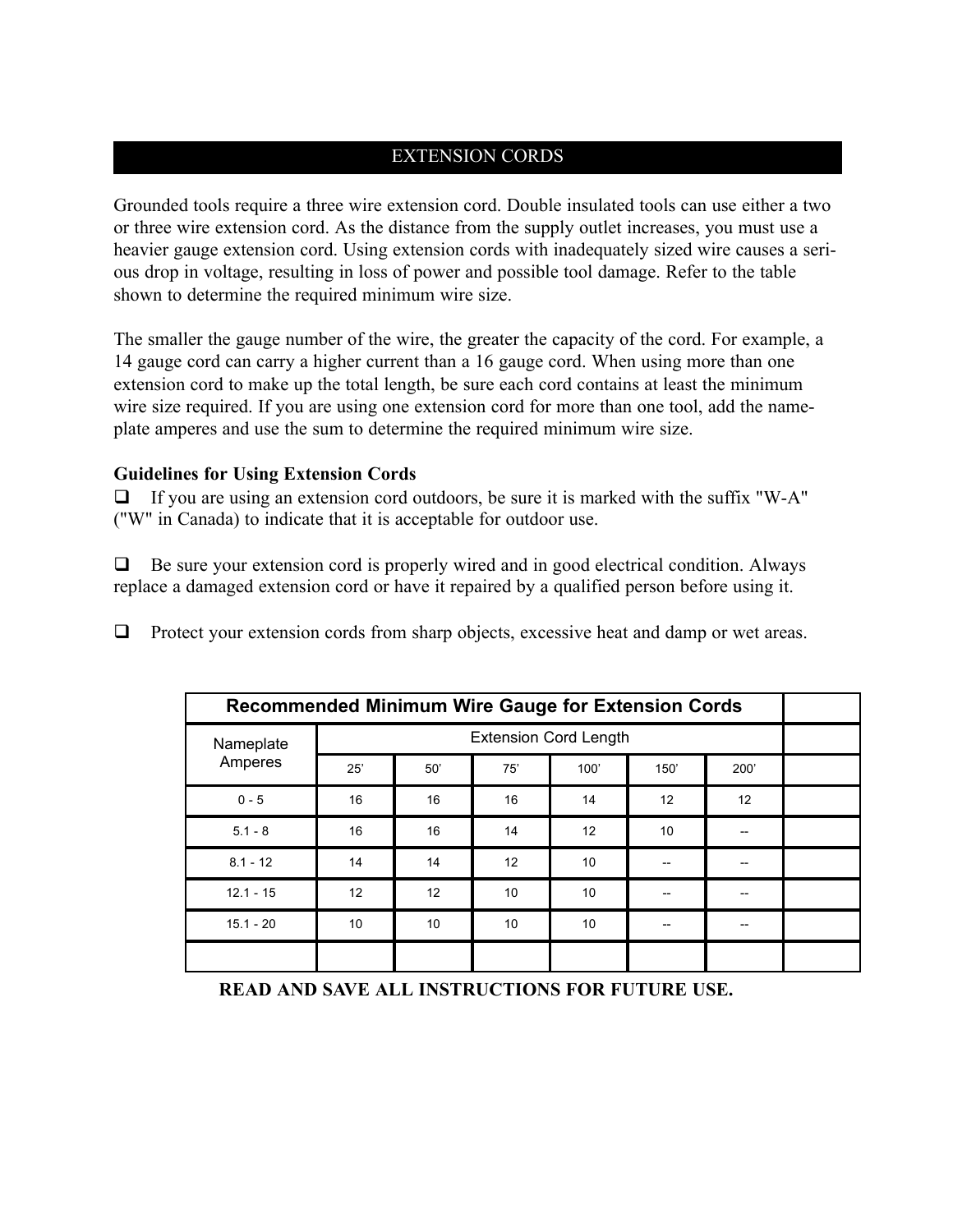#### EXTENSION CORDS

Grounded tools require a three wire extension cord. Double insulated tools can use either a two or three wire extension cord. As the distance from the supply outlet increases, you must use a heavier gauge extension cord. Using extension cords with inadequately sized wire causes a serious drop in voltage, resulting in loss of power and possible tool damage. Refer to the table shown to determine the required minimum wire size.

The smaller the gauge number of the wire, the greater the capacity of the cord. For example, a 14 gauge cord can carry a higher current than a 16 gauge cord. When using more than one extension cord to make up the total length, be sure each cord contains at least the minimum wire size required. If you are using one extension cord for more than one tool, add the nameplate amperes and use the sum to determine the required minimum wire size.

#### **Guidelines for Using Extension Cords**

 $\Box$  If you are using an extension cord outdoors, be sure it is marked with the suffix "W-A" ("W" in Canada) to indicate that it is acceptable for outdoor use.

 $\Box$  Be sure your extension cord is properly wired and in good electrical condition. Always replace a damaged extension cord or have it repaired by a qualified person before using it.

 $\Box$  Protect your extension cords from sharp objects, excessive heat and damp or wet areas.

| <b>Recommended Minimum Wire Gauge for Extension Cords</b> |                              |                 |     |      |                 |      |  |
|-----------------------------------------------------------|------------------------------|-----------------|-----|------|-----------------|------|--|
| Nameplate<br>Amperes                                      | <b>Extension Cord Length</b> |                 |     |      |                 |      |  |
|                                                           | 25'                          | 50'             | 75' | 100' | 150'            | 200' |  |
| $0 - 5$                                                   | 16                           | 16              | 16  | 14   | 12              | 12   |  |
| $5.1 - 8$                                                 | 16                           | 16              | 14  | 12   | 10 <sup>1</sup> |      |  |
| $8.1 - 12$                                                | 14                           | 14              | 12  | 10   |                 |      |  |
| $12.1 - 15$                                               | 12                           | 12              | 10  | 10   |                 |      |  |
| $15.1 - 20$                                               | 10                           | 10 <sup>1</sup> | 10  | 10   |                 | --   |  |
|                                                           |                              |                 |     |      |                 |      |  |

**READ AND SAVE ALL INSTRUCTIONS FOR FUTURE USE.**